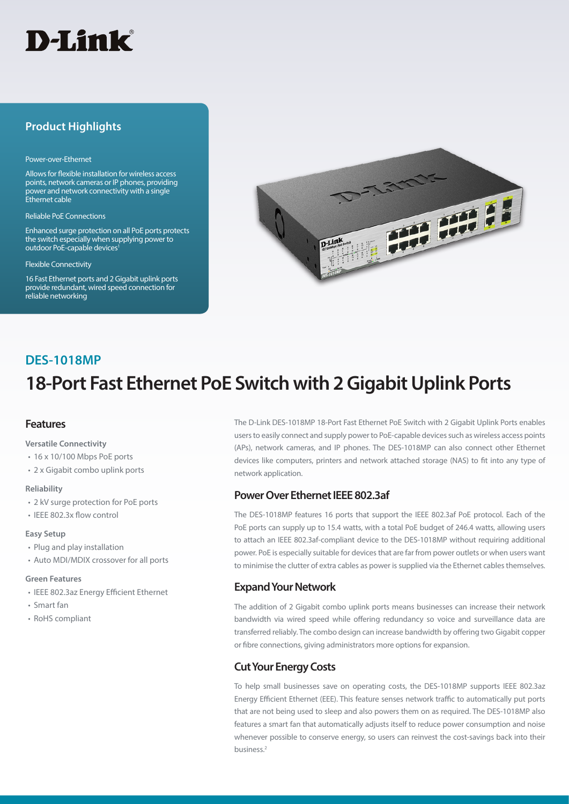

# **Product Highlights**

#### Power-over-Ethernet

Allows for flexible installation for wireless access points, network cameras or IP phones, providing power and network connectivity with a single Ethernet cable

Reliable PoE Connections

Enhanced surge protection on all PoE ports protects the switch especially when supplying power to outdoor PoE-capable devices<sup>1</sup>

#### Flexible Connectivity

16 Fast Ethernet ports and 2 Gigabit uplink ports provide redundant, wired speed connection for reliable networking



# **DES-1018MP**

# **18-Port Fast Ethernet PoE Switch with 2 Gigabit Uplink Ports**

#### **Features**

**Versatile Connectivity**

- 16 x 10/100 Mbps PoE ports
- 2 x Gigabit combo uplink ports

#### **Reliability**

- 2 kV surge protection for PoE ports
- IEEE 802.3x flow control

#### **Easy Setup**

- Plug and play installation
- Auto MDI/MDIX crossover for all ports

#### **Green Features**

- IEEE 802.3az Energy Efficient Ethernet
- Smart fan
- RoHS compliant

The D-Link DES-1018MP 18-Port Fast Ethernet PoE Switch with 2 Gigabit Uplink Ports enables users to easily connect and supply power to PoE-capable devices such as wireless access points (APs), network cameras, and IP phones. The DES-1018MP can also connect other Ethernet devices like computers, printers and network attached storage (NAS) to fit into any type of network application.

### **Power Over Ethernet IEEE 802.3af**

The DES-1018MP features 16 ports that support the IEEE 802.3af PoE protocol. Each of the PoE ports can supply up to 15.4 watts, with a total PoE budget of 246.4 watts, allowing users to attach an IEEE 802.3af-compliant device to the DES-1018MP without requiring additional power. PoE is especially suitable for devices that are far from power outlets or when users want to minimise the clutter of extra cables as power is supplied via the Ethernet cables themselves.

## **Expand Your Network**

The addition of 2 Gigabit combo uplink ports means businesses can increase their network bandwidth via wired speed while offering redundancy so voice and surveillance data are transferred reliably. The combo design can increase bandwidth by offering two Gigabit copper or fibre connections, giving administrators more options for expansion.

## **Cut Your Energy Costs**

To help small businesses save on operating costs, the DES-1018MP supports IEEE 802.3az Energy Efficient Ethernet (EEE). This feature senses network traffic to automatically put ports that are not being used to sleep and also powers them on as required. The DES-1018MP also features a smart fan that automatically adjusts itself to reduce power consumption and noise whenever possible to conserve energy, so users can reinvest the cost-savings back into their business.2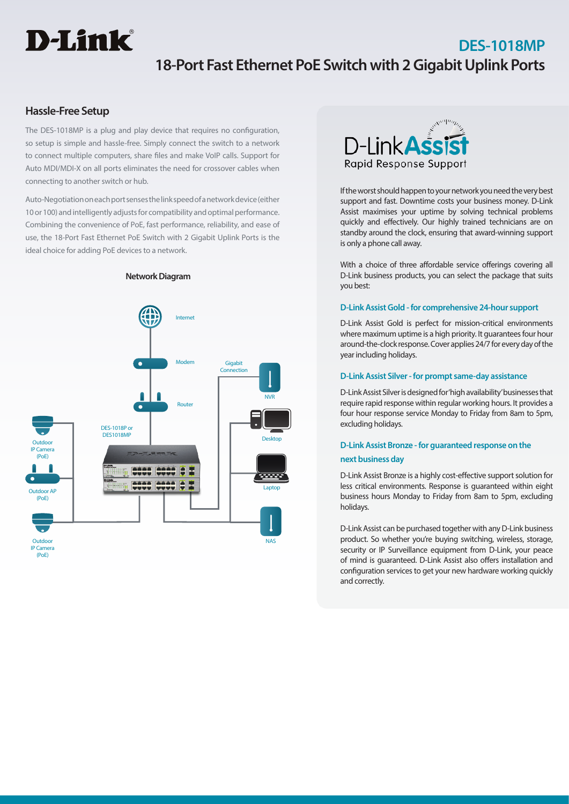# **D-Link**

# **DES-1018MP 18-Port Fast Ethernet PoE Switch with 2 Gigabit Uplink Ports**

# **Hassle-Free Setup**

The DES-1018MP is a plug and play device that requires no configuration, so setup is simple and hassle-free. Simply connect the switch to a network to connect multiple computers, share files and make VoIP calls. Support for Auto MDI/MDI-X on all ports eliminates the need for crossover cables when connecting to another switch or hub.

Auto-Negotiation on each port senses the link speed of a network device (either 10 or 100) and intelligently adjusts for compatibility and optimal performance. Combining the convenience of PoE, fast performance, reliability, and ease of use, the 18-Port Fast Ethernet PoE Switch with 2 Gigabit Uplink Ports is the ideal choice for adding PoE devices to a network.



**Network Diagram**



If the worst should happen to your network you need the very best support and fast. Downtime costs your business money. D-Link Assist maximises your uptime by solving technical problems quickly and effectively. Our highly trained technicians are on standby around the clock, ensuring that award-winning support is only a phone call away.

With a choice of three affordable service offerings covering all D-Link business products, you can select the package that suits you best:

#### **D-Link Assist Gold - for comprehensive 24-hour support**

D-Link Assist Gold is perfect for mission-critical environments where maximum uptime is a high priority. It guarantees four hour around-the-clock response. Cover applies 24/7 for every day of the year including holidays.

#### **D-Link Assist Silver - for prompt same-day assistance**

D-Link Assist Silver is designed for 'high availability' businesses that require rapid response within regular working hours. It provides a four hour response service Monday to Friday from 8am to 5pm, excluding holidays.

# **D-Link Assist Bronze - for guaranteed response on the next business day**

D-Link Assist Bronze is a highly cost-effective support solution for less critical environments. Response is guaranteed within eight business hours Monday to Friday from 8am to 5pm, excluding holidays.

D-Link Assist can be purchased together with any D-Link business product. So whether you're buying switching, wireless, storage, security or IP Surveillance equipment from D-Link, your peace of mind is guaranteed. D-Link Assist also offers installation and configuration services to get your new hardware working quickly and correctly.